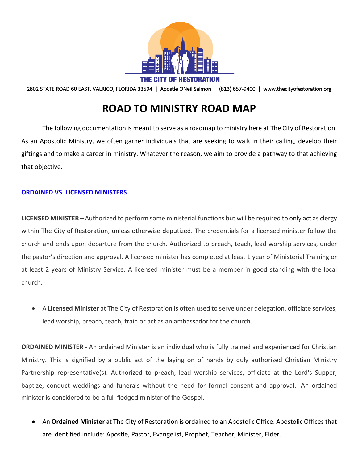

2802 STATE ROAD 60 EAST. VALRICO, FLORIDA 33594 | Apostle ONeil Salmon | (813) 657-9400 | www.thecityofestoration.org

# **ROAD TO MINISTRY ROAD MAP**

The following documentation is meant to serve as a roadmap to ministry here at The City of Restoration. As an Apostolic Ministry, we often garner individuals that are seeking to walk in their calling, develop their giftings and to make a career in ministry. Whatever the reason, we aim to provide a pathway to that achieving that objective.

### **ORDAINED VS. LICENSED MINISTERS**

**LICENSED MINISTER** – Authorized to perform some ministerial functions but will be required to only act as clergy within The City of Restoration, unless otherwise deputized. The credentials for a licensed minister follow the church and ends upon departure from the church. Authorized to preach, teach, lead worship services, under the pastor's direction and approval. A licensed minister has completed at least 1 year of Ministerial Training or at least 2 years of Ministry Service. A licensed minister must be a member in good standing with the local church.

• A **Licensed Minister** at The City of Restoration is often used to serve under delegation, officiate services, lead worship, preach, teach, train or act as an ambassador for the church.

**ORDAINED MINISTER** - An ordained Minister is an individual who is fully trained and experienced for Christian Ministry. This is signified by a public act of the laying on of hands by duly authorized Christian Ministry Partnership representative(s). Authorized to preach, lead worship services, officiate at the Lord's Supper, baptize, conduct weddings and funerals without the need for formal consent and approval. An ordained minister is considered to be a full-fledged minister of the Gospel.

• An **Ordained Minister** at The City of Restoration is ordained to an Apostolic Office. Apostolic Offices that are identified include: Apostle, Pastor, Evangelist, Prophet, Teacher, Minister, Elder.